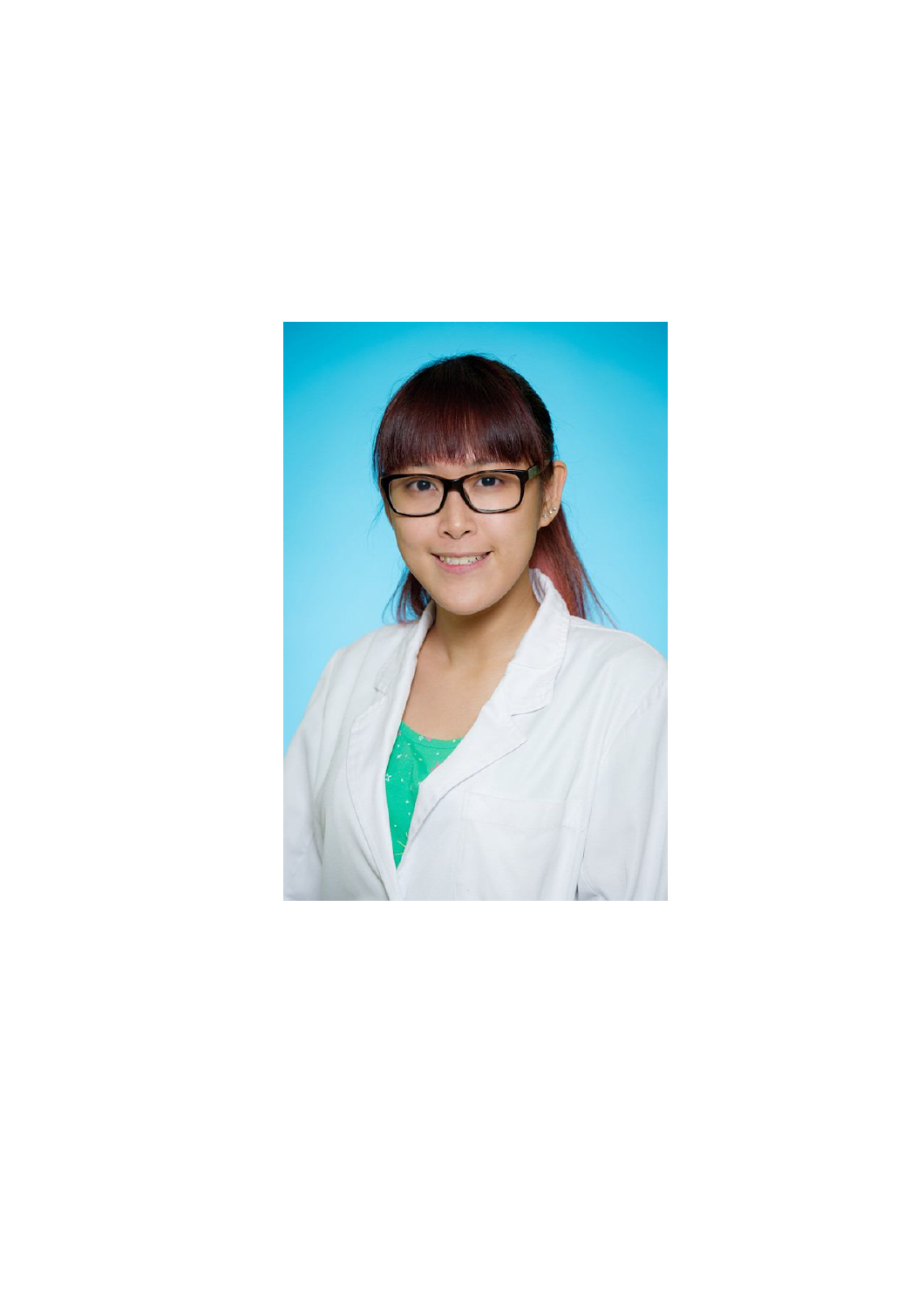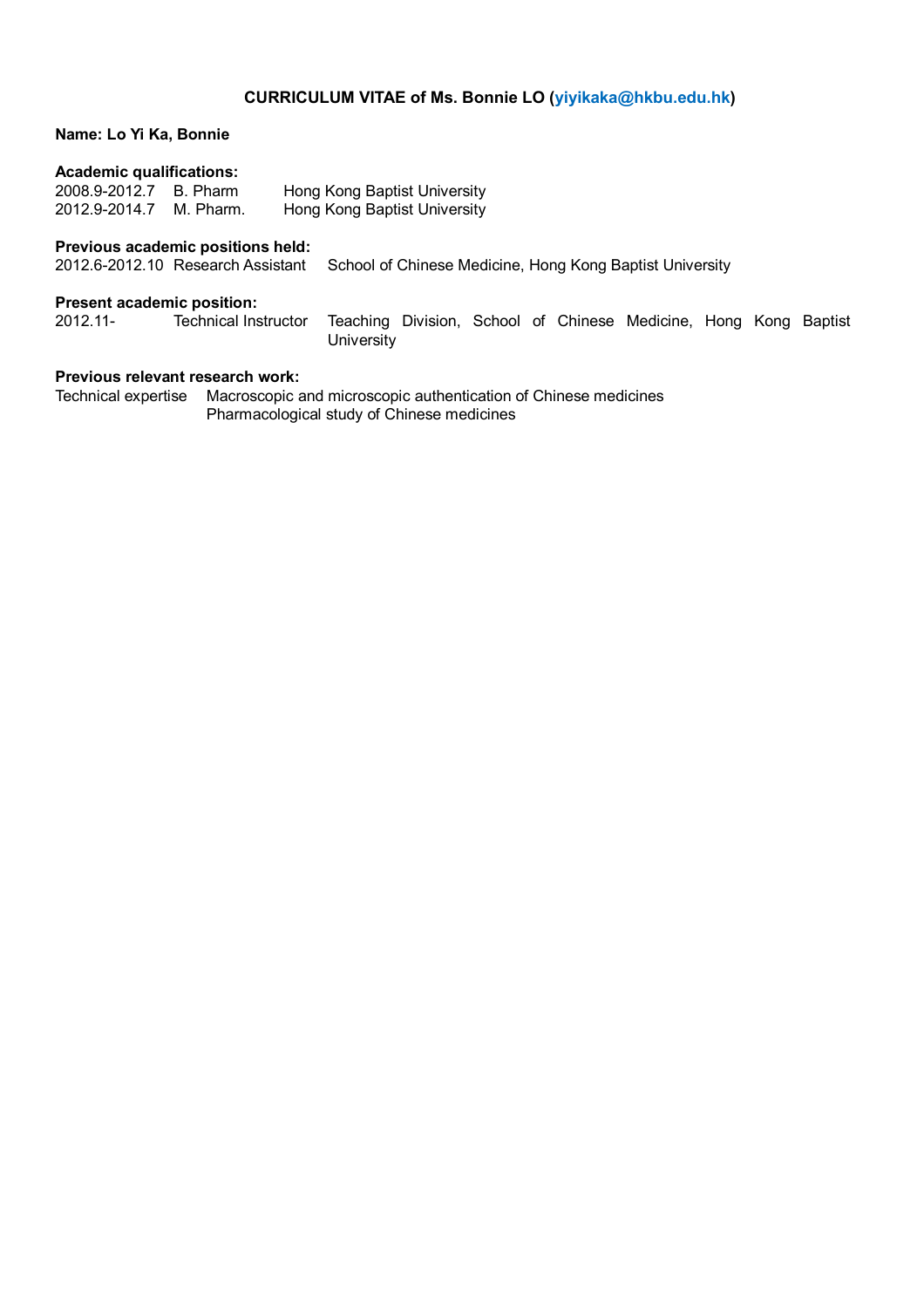## **CURRICULUM VITAE of Ms. Bonnie LO (yiyikaka@hkbu.edu.hk)**

## **Name: Lo Yi Ka, Bonnie**

## **Academic qualifications:**

| 2008.9-2012.7 | B. Pharm  | Hong Kong Baptist University |
|---------------|-----------|------------------------------|
| 2012.9-2014.7 | M. Pharm. | Hong Kong Baptist University |

# **Previous academic positions held:**

School of Chinese Medicine, Hong Kong Baptist University

**Present academic position:**<br>2012.11- Technical Instructor 2012.11- Technical Instructor Teaching Division, School of Chinese Medicine, Hong Kong Baptist **University** 

### **Previous relevant research work:**

Technical expertise Macroscopic and microscopic authentication of Chinese medicines Pharmacological study of Chinese medicines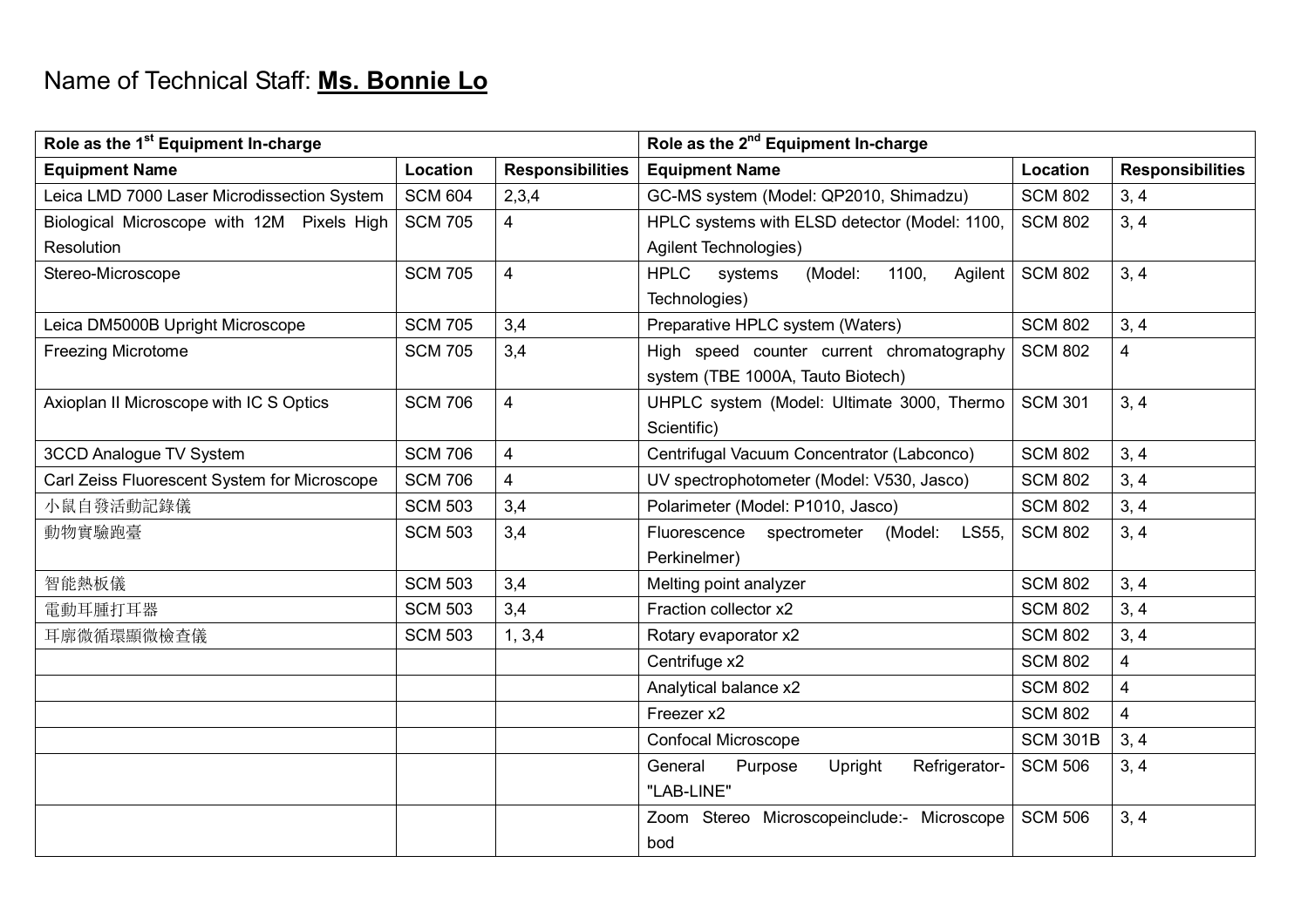| Role as the 1 <sup>st</sup> Equipment In-charge |                | Role as the 2 <sup>nd</sup> Equipment In-charge |                                                       |                 |                         |
|-------------------------------------------------|----------------|-------------------------------------------------|-------------------------------------------------------|-----------------|-------------------------|
| <b>Equipment Name</b>                           | Location       | <b>Responsibilities</b>                         | <b>Equipment Name</b>                                 | Location        | <b>Responsibilities</b> |
| Leica LMD 7000 Laser Microdissection System     | <b>SCM 604</b> | 2,3,4                                           | GC-MS system (Model: QP2010, Shimadzu)                | <b>SCM 802</b>  | 3, 4                    |
| Biological Microscope with 12M Pixels High      | <b>SCM 705</b> | 4                                               | HPLC systems with ELSD detector (Model: 1100,         | <b>SCM 802</b>  | 3, 4                    |
| Resolution                                      |                |                                                 | Agilent Technologies)                                 |                 |                         |
| Stereo-Microscope                               | <b>SCM 705</b> | $\overline{4}$                                  | <b>HPLC</b><br>1100,<br>systems<br>(Model:<br>Agilent | <b>SCM 802</b>  | 3, 4                    |
|                                                 |                |                                                 | Technologies)                                         |                 |                         |
| Leica DM5000B Upright Microscope                | <b>SCM 705</b> | 3,4                                             | Preparative HPLC system (Waters)                      | <b>SCM 802</b>  | 3, 4                    |
| <b>Freezing Microtome</b>                       | <b>SCM 705</b> | 3,4                                             | High speed counter current chromatography             | <b>SCM 802</b>  | $\overline{4}$          |
|                                                 |                |                                                 | system (TBE 1000A, Tauto Biotech)                     |                 |                         |
| Axioplan II Microscope with IC S Optics         | <b>SCM 706</b> | 4                                               | UHPLC system (Model: Ultimate 3000, Thermo            | <b>SCM 301</b>  | 3, 4                    |
|                                                 |                |                                                 | Scientific)                                           |                 |                         |
| 3CCD Analogue TV System                         | <b>SCM 706</b> | $\overline{4}$                                  | Centrifugal Vacuum Concentrator (Labconco)            | <b>SCM 802</b>  | 3, 4                    |
| Carl Zeiss Fluorescent System for Microscope    | <b>SCM 706</b> | 4                                               | UV spectrophotometer (Model: V530, Jasco)             | <b>SCM 802</b>  | 3, 4                    |
| 小鼠自發活動記錄儀                                       | <b>SCM 503</b> | 3,4                                             | Polarimeter (Model: P1010, Jasco)                     | <b>SCM 802</b>  | 3, 4                    |
| 動物實驗跑臺                                          | <b>SCM 503</b> | 3,4                                             | Fluorescence<br>spectrometer<br>(Model:<br>LS55,      | <b>SCM 802</b>  | 3, 4                    |
|                                                 |                |                                                 | Perkinelmer)                                          |                 |                         |
| 智能熱板儀                                           | <b>SCM 503</b> | 3,4                                             | Melting point analyzer                                | <b>SCM 802</b>  | 3, 4                    |
| 電動耳腫打耳器                                         | <b>SCM 503</b> | 3,4                                             | Fraction collector x2                                 | <b>SCM 802</b>  | 3, 4                    |
| 耳廓微循環顯微檢查儀                                      | <b>SCM 503</b> | 1, 3, 4                                         | Rotary evaporator x2                                  | <b>SCM 802</b>  | 3, 4                    |
|                                                 |                |                                                 | Centrifuge x2                                         | <b>SCM 802</b>  | $\overline{4}$          |
|                                                 |                |                                                 | Analytical balance x2                                 | <b>SCM 802</b>  | $\overline{4}$          |
|                                                 |                |                                                 | Freezer x2                                            | <b>SCM 802</b>  | $\overline{4}$          |
|                                                 |                |                                                 | Confocal Microscope                                   | <b>SCM 301B</b> | 3, 4                    |
|                                                 |                |                                                 | Purpose<br>Refrigerator-<br>General<br>Upright        | <b>SCM 506</b>  | 3, 4                    |
|                                                 |                |                                                 | "LAB-LINE"                                            |                 |                         |
|                                                 |                |                                                 | Zoom Stereo Microscopeinclude:- Microscope            | <b>SCM 506</b>  | 3, 4                    |
|                                                 |                |                                                 | bod                                                   |                 |                         |